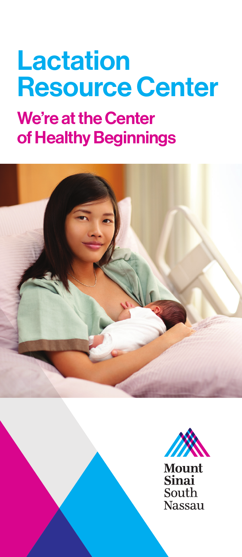# Lactation Resource Center

### We're at the Center of Healthy Beginnings







**Mount Sinai** South **Nassau**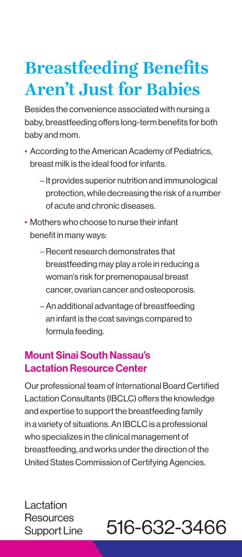## **Breastfeeding Benefits Aren't Just for Babies**

Besides the convenience associated with nursing a baby, breastfeeding offers long-term benefits for both baby and mom.

- According to the American Academy of Pediatrics, breast milk is the ideal food for infants.
	- It provides superior nutrition and immunological protection, while decreasing the risk of a number of acute and chronic diseases.
- Mothers who choose to nurse their infant benefit in many ways:
	- –Recent research demonstrates that breastfeeding may play a role in reducing a woman's risk for premenopausal breast cancer, ovarian cancer and osteoporosis.
	- –An additional advantage of breastfeeding an infant is the cost savings compared to formula feeding.

#### Mount Sinai South Nassau's Lactation Resource Center

Our professional team of International Board Certified Lactation Consultants (IBCLC) offers the knowledge and expertise to support the breastfeeding family in a variety of situations. An IBCLC is a professional who specializes in the clinical management of breastfeeding, and works under the direction of the United States Commission of Certifying Agencies.

Lactation Resources Support Line:

### 516-632-3466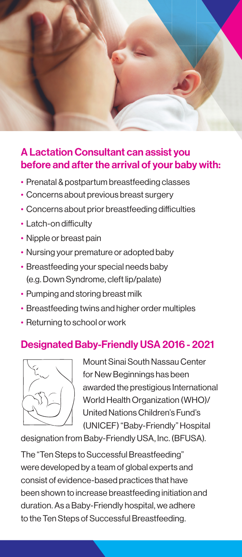

#### A Lactation Consultant can assist you before and after the arrival of your baby with:

- Prenatal & postpartum breastfeeding classes
- Concerns about previous breast surgery
- Concerns about prior breastfeeding difficulties
- Latch-on difficulty
- Nipple or breast pain
- Nursing your premature or adopted baby
- Breastfeeding your special needs baby (e.g. Down Syndrome, cleft lip/palate)
- Pumping and storing breast milk
- Breastfeeding twins and higher order multiples
- Returning to school or work

#### Designated Baby-Friendly USA 2016 - 2021



Mount Sinai South Nassau Center for New Beginnings has been awarded the prestigious International World Health Organization (WHO)/ United Nations Children's Fund's (UNICEF) "Baby-Friendly" Hospital

designation from Baby-Friendly USA, Inc. (BFUSA).

The "Ten Steps to Successful Breastfeeding" were developed by a team of global experts and consist of evidence-based practices that have been shown to increase breastfeeding initiation and duration. As a Baby-Friendly hospital, we adhere to the Ten Steps of Successful Breastfeeding.